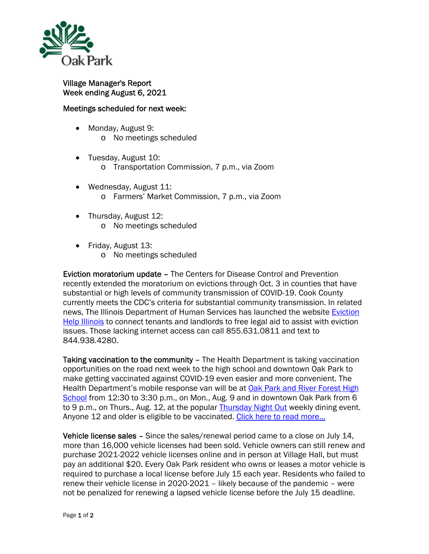

## Village Manager's Report Week ending August 6, 2021

## Meetings scheduled for next week:

- Monday, August 9: o No meetings scheduled
- Tuesday, August 10:
	- o Transportation Commission, 7 p.m., via Zoom
- Wednesday, August 11: o Farmers' Market Commission, 7 p.m., via Zoom
- Thursday, August 12: o No meetings scheduled
- Friday, August 13:
	- o No meetings scheduled

Eviction moratorium update – The Centers for Disease Control and Prevention recently extended the moratorium on evictions through Oct. 3 in counties that have substantial or high levels of community transmission of COVID-19. Cook County currently meets the CDC's criteria for substantial community transmission. In related news, The Illinois Department of Human Services has launched the website Eviction Help Illinois to connect tenants and landlords to free legal aid to assist with eviction issues. Those lacking internet access can call 855.631.0811 and text to 844.938.4280.

Taking vaccination to the community – The Health Department is taking vaccination opportunities on the road next week to the high school and downtown Oak Park to make getting vaccinated against COVID-19 even easier and more convenient. The Health Department's mobile response van will be at Oak Park and River Forest High School from 12:30 to 3:30 p.m., on Mon., Aug. 9 and in downtown Oak Park from 6 to 9 p.m., on Thurs., Aug. 12, at the popular **Thursday Night Out** weekly dining event. Anyone 12 and older is eligible to be vaccinated. Click here to read more...

Vehicle license sales - Since the sales/renewal period came to a close on July 14, more than 16,000 vehicle licenses had been sold. Vehicle owners can still renew and purchase 2021-2022 vehicle licenses online and in person at Village Hall, but must pay an additional \$20. Every Oak Park resident who owns or leases a motor vehicle is required to purchase a local license before July 15 each year. Residents who failed to renew their vehicle license in 2020-2021 – likely because of the pandemic – were not be penalized for renewing a lapsed vehicle license before the July 15 deadline.